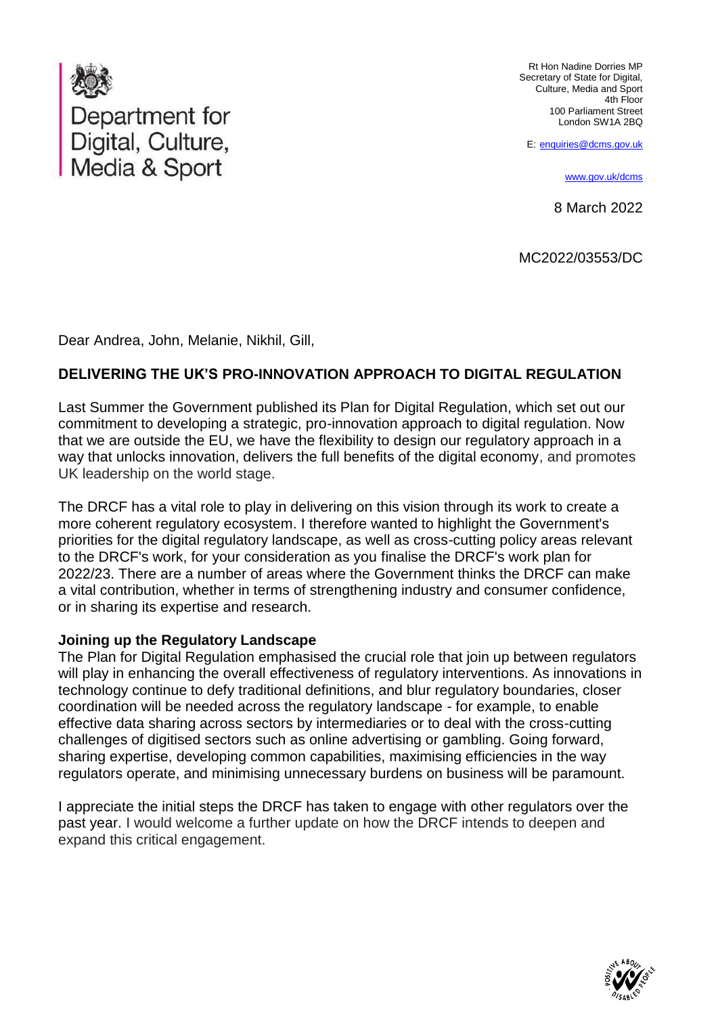

Rt Hon Nadine Dorries MP Secretary of State for Digital, Culture, Media and Sport 4th Floor 100 Parliament Street London SW1A 2BQ

E: [enquiries@dcms.gov.uk](mailto:enquiries@dcms.gov.uk)

[www.gov.uk/dcms](http://www.gov.uk/dcms)

8 March 2022

MC2022/03553/DC

Dear Andrea, John, Melanie, Nikhil, Gill,

#### **DELIVERING THE UK'S PRO-INNOVATION APPROACH TO DIGITAL REGULATION**

Last Summer the Government published its Plan for Digital Regulation, which set out our commitment to developing a strategic, pro-innovation approach to digital regulation. Now that we are outside the EU, we have the flexibility to design our regulatory approach in a way that unlocks innovation, delivers the full benefits of the digital economy, and promotes UK leadership on the world stage.

The DRCF has a vital role to play in delivering on this vision through its work to create a more coherent regulatory ecosystem. I therefore wanted to highlight the Government's priorities for the digital regulatory landscape, as well as cross-cutting policy areas relevant to the DRCF's work, for your consideration as you finalise the DRCF's work plan for 2022/23. There are a number of areas where the Government thinks the DRCF can make a vital contribution, whether in terms of strengthening industry and consumer confidence, or in sharing its expertise and research.

#### **Joining up the Regulatory Landscape**

The Plan for Digital Regulation emphasised the crucial role that join up between regulators will play in enhancing the overall effectiveness of regulatory interventions. As innovations in technology continue to defy traditional definitions, and blur regulatory boundaries, closer coordination will be needed across the regulatory landscape - for example, to enable effective data sharing across sectors by intermediaries or to deal with the cross-cutting challenges of digitised sectors such as online advertising or gambling. Going forward, sharing expertise, developing common capabilities, maximising efficiencies in the way regulators operate, and minimising unnecessary burdens on business will be paramount.

I appreciate the initial steps the DRCF has taken to engage with other regulators over the past year. I would welcome a further update on how the DRCF intends to deepen and expand this critical engagement.

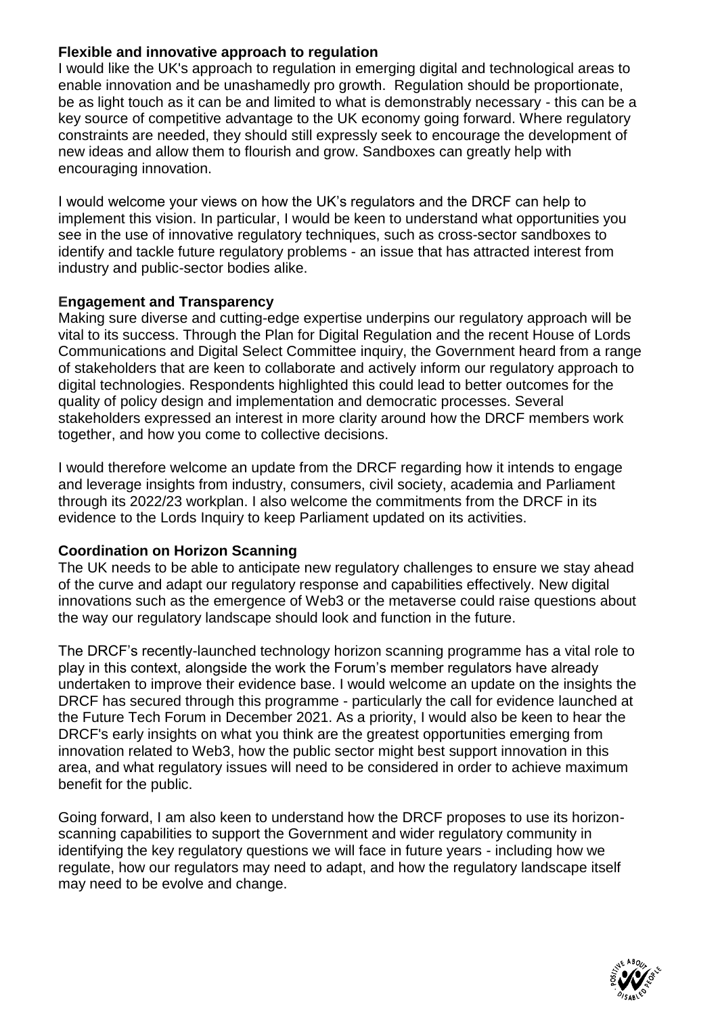## **Flexible and innovative approach to regulation**

enable innovation and be unashamedly pro growth. Regulation should be proportionate, I would like the UK's approach to regulation in emerging digital and technological areas to be as light touch as it can be and limited to what is demonstrably necessary - this can be a constraints are needed, they should still expressly seek to encourage the development of key source of competitive advantage to the UK economy going forward. Where regulatory encouraging innovation. new ideas and allow them to flourish and grow. Sandboxes can greatly help with

I would welcome your views on how the UK's regulators and the DRCF can help to see in the use of innovative regulatory techniques, such as cross-sector sandboxes to industry and public-sector bodies alike. identify and tackle future regulatory problems - an issue that has attracted interest from implement this vision. In particular, I would be keen to understand what opportunities you

# **Engagement and Transparency**

Making sure diverse and cutting-edge expertise underpins our regulatory approach will be vital to its success. Through the Plan for Digital Regulation and the recent House of Lords Communications and Digital Select Committee inquiry, the Government heard from a range of stakeholders that are keen to collaborate and actively inform our regulatory approach to digital technologies. Respondents highlighted this could lead to better outcomes for the quality of policy design and implementation and democratic processes. Several stakeholders expressed an interest in more clarity around how the DRCF members work together, and how you come to collective decisions.

I would therefore welcome an update from the DRCF regarding how it intends to engage and leverage insights from industry, consumers, civil society, academia and Parliament through its 2022/23 workplan. I also welcome the commitments from the DRCF in its evidence to the Lords Inquiry to keep Parliament updated on its activities.

# **Coordination on Horizon Scanning**

The UK needs to be able to anticipate new regulatory challenges to ensure we stay ahead of the curve and adapt our regulatory response and capabilities effectively. New digital innovations such as the emergence of Web3 or the metaverse could raise questions about the way our regulatory landscape should look and function in the future.

The DRCF's recently-launched technology horizon scanning programme has a vital role to play in this context, alongside the work the Forum's member regulators have already undertaken to improve their evidence base. I would welcome an update on the insights the DRCF has secured through this programme - particularly the call for evidence launched at the Future Tech Forum in December 2021. As a priority, I would also be keen to hear the DRCF's early insights on what you think are the greatest opportunities emerging from innovation related to Web3, how the public sector might best support innovation in this area, and what regulatory issues will need to be considered in order to achieve maximum benefit for the public.

Going forward, I am also keen to understand how the DRCF proposes to use its horizonscanning capabilities to support the Government and wider regulatory community in identifying the key regulatory questions we will face in future years - including how we regulate, how our regulators may need to adapt, and how the regulatory landscape itself may need to be evolve and change.